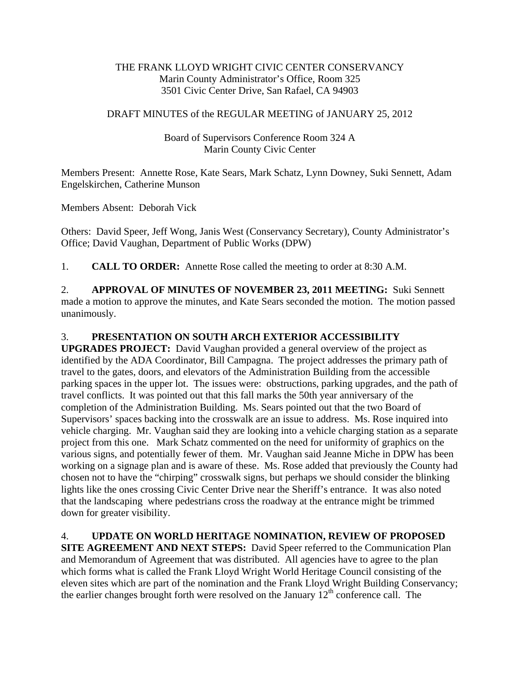## THE FRANK LLOYD WRIGHT CIVIC CENTER CONSERVANCY Marin County Administrator's Office, Room 325 3501 Civic Center Drive, San Rafael, CA 94903

## DRAFT MINUTES of the REGULAR MEETING of JANUARY 25, 2012

## Board of Supervisors Conference Room 324 A Marin County Civic Center

Members Present: Annette Rose, Kate Sears, Mark Schatz, Lynn Downey, Suki Sennett, Adam Engelskirchen, Catherine Munson

Members Absent: Deborah Vick

Others: David Speer, Jeff Wong, Janis West (Conservancy Secretary), County Administrator's Office; David Vaughan, Department of Public Works (DPW)

1. **CALL TO ORDER:** Annette Rose called the meeting to order at 8:30 A.M.

2. **APPROVAL OF MINUTES OF NOVEMBER 23, 2011 MEETING:** Suki Sennett made a motion to approve the minutes, and Kate Sears seconded the motion. The motion passed unanimously.

## 3. **PRESENTATION ON SOUTH ARCH EXTERIOR ACCESSIBILITY**

**UPGRADES PROJECT:** David Vaughan provided a general overview of the project as identified by the ADA Coordinator, Bill Campagna. The project addresses the primary path of travel to the gates, doors, and elevators of the Administration Building from the accessible parking spaces in the upper lot. The issues were: obstructions, parking upgrades, and the path of travel conflicts. It was pointed out that this fall marks the 50th year anniversary of the completion of the Administration Building. Ms. Sears pointed out that the two Board of Supervisors' spaces backing into the crosswalk are an issue to address. Ms. Rose inquired into vehicle charging. Mr. Vaughan said they are looking into a vehicle charging station as a separate project from this one. Mark Schatz commented on the need for uniformity of graphics on the various signs, and potentially fewer of them. Mr. Vaughan said Jeanne Miche in DPW has been working on a signage plan and is aware of these. Ms. Rose added that previously the County had chosen not to have the "chirping" crosswalk signs, but perhaps we should consider the blinking lights like the ones crossing Civic Center Drive near the Sheriff's entrance. It was also noted that the landscaping where pedestrians cross the roadway at the entrance might be trimmed down for greater visibility.

4. **UPDATE ON WORLD HERITAGE NOMINATION, REVIEW OF PROPOSED SITE AGREEMENT AND NEXT STEPS:** David Speer referred to the Communication Plan and Memorandum of Agreement that was distributed. All agencies have to agree to the plan which forms what is called the Frank Lloyd Wright World Heritage Council consisting of the eleven sites which are part of the nomination and the Frank Lloyd Wright Building Conservancy; the earlier changes brought forth were resolved on the January  $12<sup>th</sup>$  conference call. The